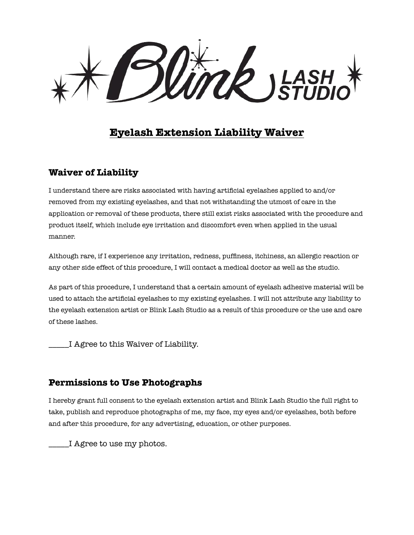**UTCR** JEASH

# **Eyelash Extension Liability Waiver**

### **Waiver of Liability**

I understand there are risks associated with having artificial eyelashes applied to and/or removed from my existing eyelashes, and that not withstanding the utmost of care in the application or removal of these products, there still exist risks associated with the procedure and product itself, which include eye irritation and discomfort even when applied in the usual manner.

Although rare, if I experience any irritation, redness, puffiness, itchiness, an allergic reaction or any other side effect of this procedure, I will contact a medical doctor as well as the studio.

As part of this procedure, I understand that a certain amount of eyelash adhesive material will be used to attach the artificial eyelashes to my existing eyelashes. I will not attribute any liability to the eyelash extension artist or Blink Lash Studio as a result of this procedure or the use and care of these lashes.

\_\_\_\_\_I Agree to this Waiver of Liability.

#### **Permissions to Use Photographs**

I hereby grant full consent to the eyelash extension artist and Blink Lash Studio the full right to take, publish and reproduce photographs of me, my face, my eyes and/or eyelashes, both before and after this procedure, for any advertising, education, or other purposes.

I Agree to use my photos.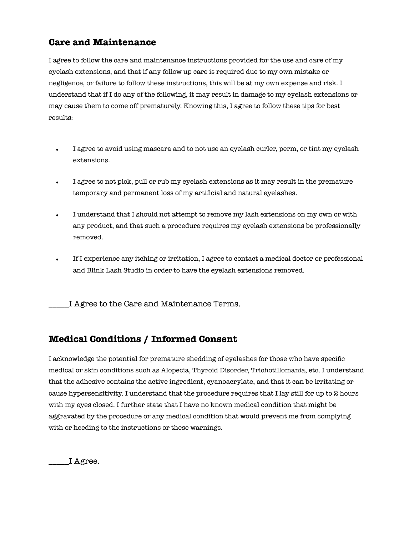## **Care and Maintenance**

I agree to follow the care and maintenance instructions provided for the use and care of my eyelash extensions, and that if any follow up care is required due to my own mistake or negligence, or failure to follow these instructions, this will be at my own expense and risk. I understand that if I do any of the following, it may result in damage to my eyelash extensions or may cause them to come off prematurely. Knowing this, I agree to follow these tips for best results:

- I agree to avoid using mascara and to not use an eyelash curler, perm, or tint my eyelash extensions.
- I agree to not pick, pull or rub my eyelash extensions as it may result in the premature temporary and permanent loss of my artificial and natural eyelashes.
- I understand that I should not attempt to remove my lash extensions on my own or with any product, and that such a procedure requires my eyelash extensions be professionally removed.
- If I experience any itching or irritation, I agree to contact a medical doctor or professional and Blink Lash Studio in order to have the eyelash extensions removed.

\_\_\_\_\_I Agree to the Care and Maintenance Terms.

#### **Medical Conditions / Informed Consent**

I acknowledge the potential for premature shedding of eyelashes for those who have specific medical or skin conditions such as Alopecia, Thyroid Disorder, Trichotillomania, etc. I understand that the adhesive contains the active ingredient, cyanoacrylate, and that it can be irritating or cause hypersensitivity. I understand that the procedure requires that I lay still for up to 2 hours with my eyes closed. I further state that I have no known medical condition that might be aggravated by the procedure or any medical condition that would prevent me from complying with or heeding to the instructions or these warnings.

\_\_\_\_\_I Agree.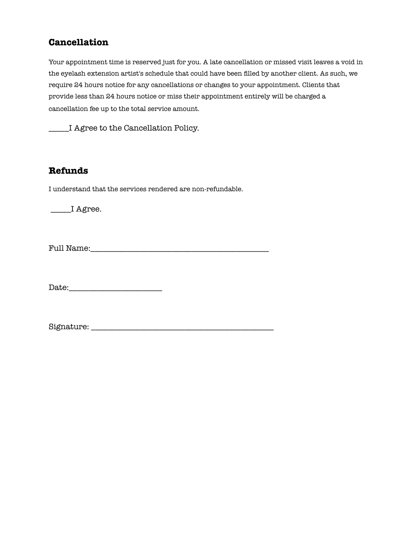## **Cancellation**

Your appointment time is reserved just for you. A late cancellation or missed visit leaves a void in the eyelash extension artist's schedule that could have been filled by another client. As such, we require 24 hours notice for any cancellations or changes to your appointment. Clients that provide less than 24 hours notice or miss their appointment entirely will be charged a cancellation fee up to the total service amount.

\_\_\_\_\_I Agree to the Cancellation Policy.

#### **Refunds**

I understand that the services rendered are non-refundable.

\_\_\_\_\_I Agree.

Full Name:\_\_\_\_\_\_\_\_\_\_\_\_\_\_\_\_\_\_\_\_\_\_\_\_\_\_\_\_\_\_\_\_\_\_\_\_\_\_\_\_\_\_\_\_

Date:\_\_\_\_\_\_\_\_\_\_\_\_\_\_\_\_\_\_\_\_\_\_\_

Signature: \_\_\_\_\_\_\_\_\_\_\_\_\_\_\_\_\_\_\_\_\_\_\_\_\_\_\_\_\_\_\_\_\_\_\_\_\_\_\_\_\_\_\_\_\_